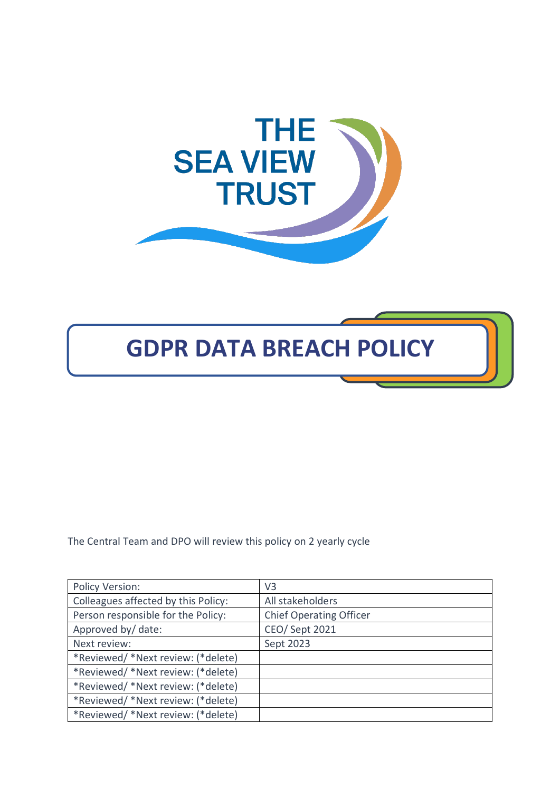

# **GDPR DATA BREACH POLICY**

The Central Team and DPO will review this policy on 2 yearly cycle

| Policy Version:                     | V <sub>3</sub>                 |
|-------------------------------------|--------------------------------|
| Colleagues affected by this Policy: | All stakeholders               |
| Person responsible for the Policy:  | <b>Chief Operating Officer</b> |
| Approved by/ date:                  | <b>CEO/ Sept 2021</b>          |
| Next review:                        | Sept 2023                      |
| *Reviewed/ *Next review: (*delete)  |                                |
| *Reviewed/ *Next review: (*delete)  |                                |
| *Reviewed/ *Next review: (*delete)  |                                |
| *Reviewed/ *Next review: (*delete)  |                                |
| *Reviewed/ *Next review: (*delete)  |                                |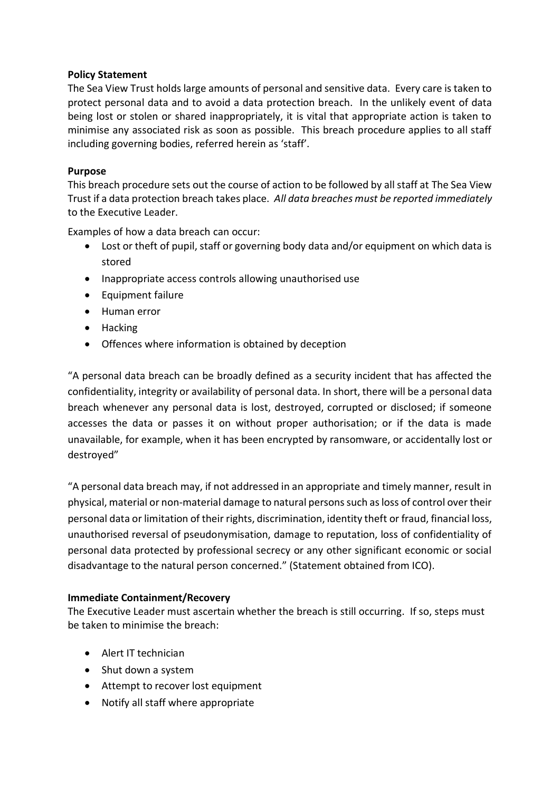#### **Policy Statement**

The Sea View Trust holds large amounts of personal and sensitive data. Every care is taken to protect personal data and to avoid a data protection breach. In the unlikely event of data being lost or stolen or shared inappropriately, it is vital that appropriate action is taken to minimise any associated risk as soon as possible. This breach procedure applies to all staff including governing bodies, referred herein as 'staff'.

#### **Purpose**

This breach procedure sets out the course of action to be followed by all staff at The Sea View Trust if a data protection breach takes place. *All data breaches must be reported immediately* to the Executive Leader.

Examples of how a data breach can occur:

- Lost or theft of pupil, staff or governing body data and/or equipment on which data is stored
- Inappropriate access controls allowing unauthorised use
- Equipment failure
- Human error
- Hacking
- Offences where information is obtained by deception

"A personal data breach can be broadly defined as a security incident that has affected the confidentiality, integrity or availability of personal data. In short, there will be a personal data breach whenever any personal data is lost, destroyed, corrupted or disclosed; if someone accesses the data or passes it on without proper authorisation; or if the data is made unavailable, for example, when it has been encrypted by ransomware, or accidentally lost or destroyed"

"A personal data breach may, if not addressed in an appropriate and timely manner, result in physical, material or non-material damage to natural persons such as loss of control over their personal data or limitation of their rights, discrimination, identity theft or fraud, financial loss, unauthorised reversal of pseudonymisation, damage to reputation, loss of confidentiality of personal data protected by professional secrecy or any other significant economic or social disadvantage to the natural person concerned." (Statement obtained from ICO).

#### **Immediate Containment/Recovery**

The Executive Leader must ascertain whether the breach is still occurring. If so, steps must be taken to minimise the breach:

- Alert IT technician
- Shut down a system
- Attempt to recover lost equipment
- Notify all staff where appropriate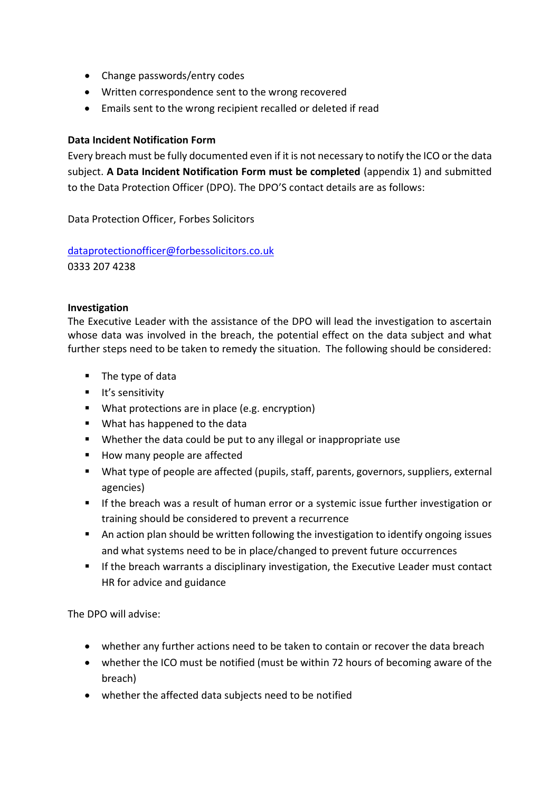- Change passwords/entry codes
- Written correspondence sent to the wrong recovered
- Emails sent to the wrong recipient recalled or deleted if read

#### **Data Incident Notification Form**

Every breach must be fully documented even if it is not necessary to notify the ICO or the data subject. **A Data Incident Notification Form must be completed** (appendix 1) and submitted to the Data Protection Officer (DPO). The DPO'S contact details are as follows:

Data Protection Officer, Forbes Solicitors

[dataprotectionofficer@forbessolicitors.co.uk](mailto:dataprotectionofficer@forbessolicitors.co.uk) 0333 207 4238

#### **Investigation**

The Executive Leader with the assistance of the DPO will lead the investigation to ascertain whose data was involved in the breach, the potential effect on the data subject and what further steps need to be taken to remedy the situation. The following should be considered:

- The type of data
- **■** It's sensitivity
- What protections are in place (e.g. encryption)
- What has happened to the data
- Whether the data could be put to any illegal or inappropriate use
- How many people are affected
- What type of people are affected (pupils, staff, parents, governors, suppliers, external agencies)
- **■** If the breach was a result of human error or a systemic issue further investigation or training should be considered to prevent a recurrence
- An action plan should be written following the investigation to identify ongoing issues and what systems need to be in place/changed to prevent future occurrences
- **■** If the breach warrants a disciplinary investigation, the Executive Leader must contact HR for advice and guidance

The DPO will advise:

- whether any further actions need to be taken to contain or recover the data breach
- whether the ICO must be notified (must be within 72 hours of becoming aware of the breach)
- whether the affected data subjects need to be notified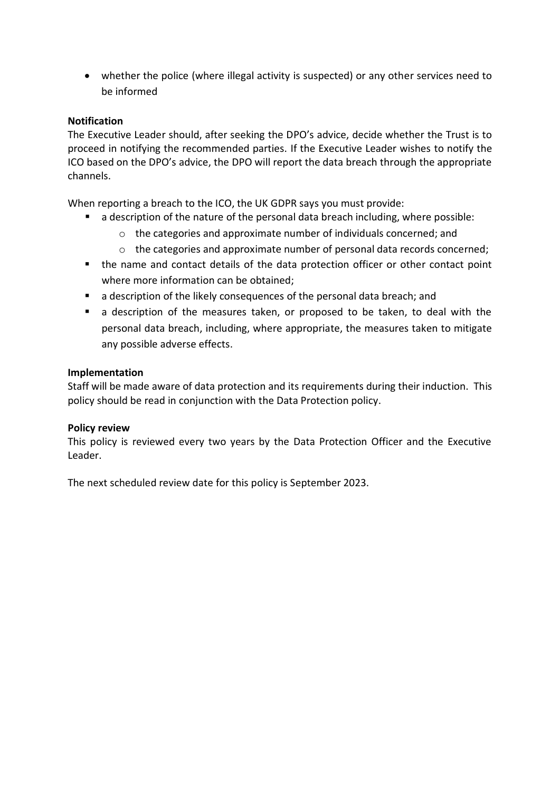• whether the police (where illegal activity is suspected) or any other services need to be informed

#### **Notification**

The Executive Leader should, after seeking the DPO's advice, decide whether the Trust is to proceed in notifying the recommended parties. If the Executive Leader wishes to notify the ICO based on the DPO's advice, the DPO will report the data breach through the appropriate channels.

When reporting a breach to the ICO, the UK GDPR says you must provide:

- a description of the nature of the personal data breach including, where possible:
	- o the categories and approximate number of individuals concerned; and
	- o the categories and approximate number of personal data records concerned;
- the name and contact details of the data protection officer or other contact point where more information can be obtained;
- a description of the likely consequences of the personal data breach; and
- a description of the measures taken, or proposed to be taken, to deal with the personal data breach, including, where appropriate, the measures taken to mitigate any possible adverse effects.

#### **Implementation**

Staff will be made aware of data protection and its requirements during their induction. This policy should be read in conjunction with the Data Protection policy.

#### **Policy review**

This policy is reviewed every two years by the Data Protection Officer and the Executive Leader.

The next scheduled review date for this policy is September 2023.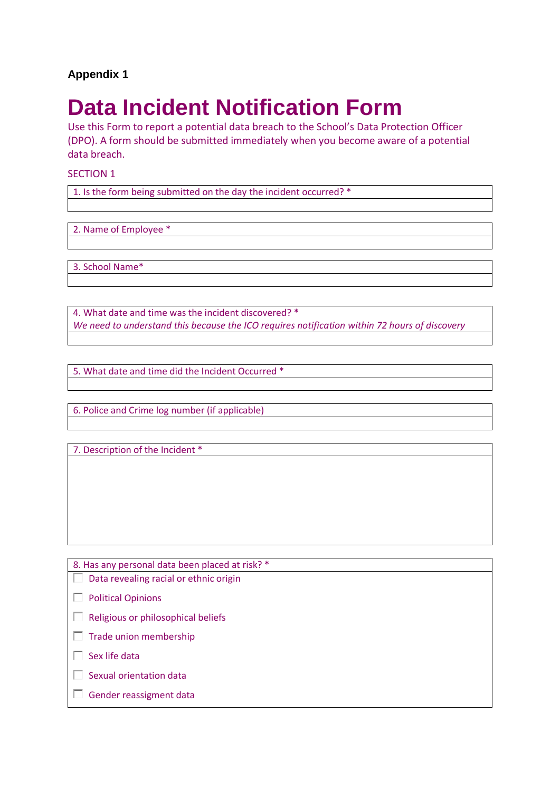### **Appendix 1**

## **Data Incident Notification Form**

Use this Form to report a potential data breach to the School's Data Protection Officer (DPO). A form should be submitted immediately when you become aware of a potential data breach.

SECTION 1

1. Is the form being submitted on the day the incident occurred? \*

2. Name of Employee \*

3. School Name\*

4. What date and time was the incident discovered? \* *We need to understand this because the ICO requires notification within 72 hours of discovery*

5. What date and time did the Incident Occurred \*

6. Police and Crime log number (if applicable)

7. Description of the Incident \*

8. Has any personal data been placed at risk? \*  $\Box$  Data revealing racial or ethnic origin  $\Box$  Political Opinions  $\Box$  Religious or philosophical beliefs  $\Box$  Trade union membership  $\Box$  Sex life data  $\square$  Sexual orientation data  $\Box$  Gender reassigment data